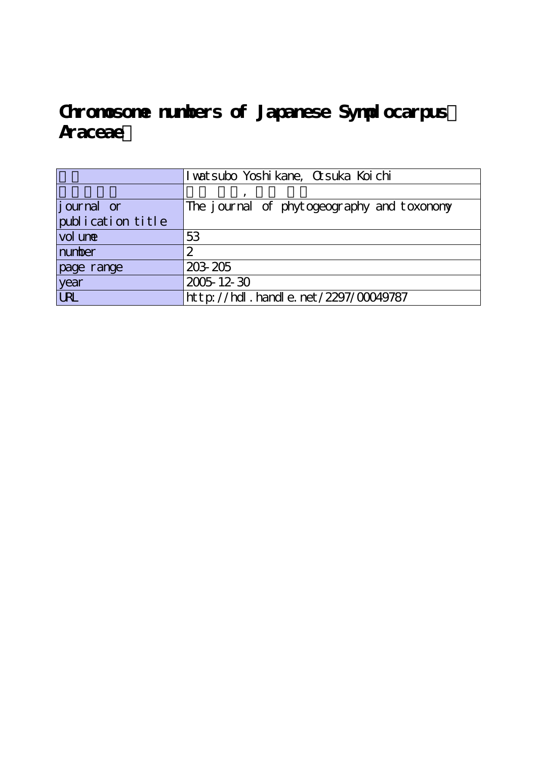# Chromosome numbers of Japanese Symplocarpus **Araceae)**

|                   | I wat subo Yoshi kane, Ct suka Koi chi     |
|-------------------|--------------------------------------------|
|                   |                                            |
| journal or        | The journal of phytogeography and toxonony |
| publication title |                                            |
| vol une           | 53                                         |
| number            | 2                                          |
| page range        | 203 205                                    |
| year              | 2005-12-30                                 |
| <b>URL</b>        | $http$ : //hdl. handle. net /2297/00049787 |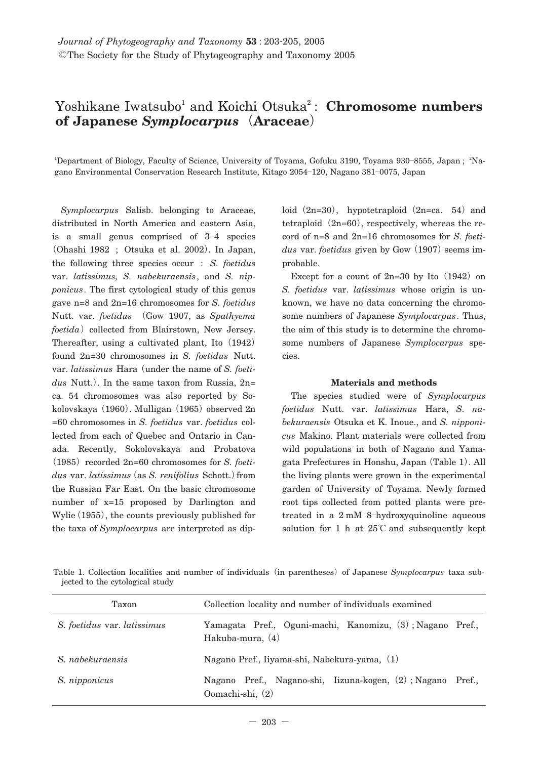## Yoshikane Iwatsubo<sup>1</sup> and Koichi Otsuka<sup>2</sup>: **Chromosome numbers of Japanese** *Symplocarpus***(Araceae)**

<sup>1</sup>Department of Biology, Faculty of Science, University of Toyama, Gofuku 3190, Toyama 930–8555, Japan; <sup>2</sup>Nagano Environmental Conservation Research Institute, Kitago 2054**―**120, Nagano 381**―**0075, Japan

*Symplocarpus* Salisb. belonging to Araceae, distributed in North America and eastern Asia, is a small genus comprised of 3**―**4 species **(**Ohashi 1982 ; Otsuka et al. 2002**)**. In Japan, the following three species occur : *S. foetidus* var. *latissimus, S. nabekuraensis*, and *S. nipponicus*. The first cytological study of this genus gave n=8 and 2n=16 chromosomes for *S. foetidus* Nutt. var. *foetidus* **(**Gow 1907, as *Spathyema foetida*) collected from Blairstown, New Jersey. Thereafter, using a cultivated plant, Ito**(**1942**)** found 2n=30 chromosomes in *S. foetidus* Nutt. var. *latissimus* Hara**(**under the name of *S. foetidus* Nutt.**)**. In the same taxon from Russia, 2n= ca. 54 chromosomes was also reported by Sokolovskaya**(**1960**)**. Mulligan**(**1965**)**observed 2n =60 chromosomes in *S. foetidus* var. *foetidus* collected from each of Quebec and Ontario in Canada. Recently, Sokolovskaya and Probatova **(**1985**)**recorded 2n=60 chromosomes for *S. foetidus* var. *latissimus***(**as *S. renifolius* Schott.**)**from the Russian Far East. On the basic chromosome number of x=15 proposed by Darlington and Wylie**(**1955**)**, the counts previously published for the taxa of *Symplocarpus* are interpreted as diploid**(**2n=30**)**, hypotetraploid**(**2n=ca. 54**)**and tetraploid**(**2n=60**)**, respectively, whereas the record of n=8 and 2n=16 chromosomes for *S. foetidus* var. *foetidus* given by Gow**(**1907**)**seems improbable.

Except for a count of 2n=30 by Ito (1942) on *S. foetidus* var. *latissimus* whose origin is unknown, we have no data concerning the chromosome numbers of Japanese *Symplocarpus*. Thus, the aim of this study is to determine the chromosome numbers of Japanese *Symplocarpus* species.

#### **Materials and methods**

The species studied were of *Symplocarpus foetidus* Nutt. var. *latissimus* Hara, *S. nabekuraensis* Otsuka et K. Inoue., and *S. nipponicus* Makino. Plant materials were collected from wild populations in both of Nagano and Yamagata Prefectures in Honshu, Japan**(**Table 1**)**. All the living plants were grown in the experimental garden of University of Toyama. Newly formed root tips collected from potted plants were pretreated in a 2 mM 8**―**hydroxyquinoline aqueous solution for 1 h at 25**℃** and subsequently kept

Table 1. Collection localities and number of individuals**(**in parentheses**)**of Japanese *Symplocarpus* taxa subjected to the cytological study

| Taxon                       | Collection locality and number of individuals examined                         |
|-----------------------------|--------------------------------------------------------------------------------|
| S. foetidus var. latissimus | Yamagata Pref., Oguni-machi, Kanomizu, 3); Nagano Pref.,<br>Hakuba-mura, (4)   |
| S. nabekurgensis            | Nagano Pref., Iiyama-shi, Nabekura-yama, (1)                                   |
| S. nipponicus               | Nagano Pref., Nagano-shi, Iizuna-kogen, (2); Nagano Pref.,<br>Oomachi-shi, (2) |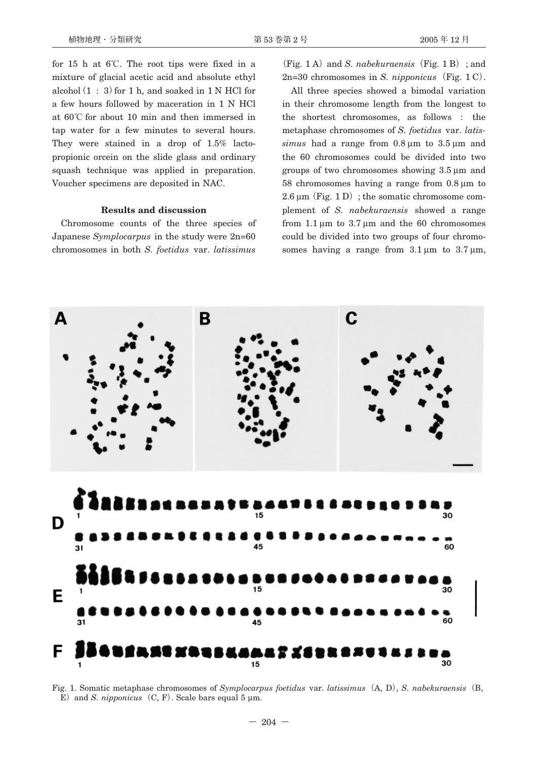for 15 h at 6**℃**. The root tips were fixed in a mixture of glacial acetic acid and absolute ethyl alcohol $(1:3)$  for 1 h, and soaked in 1 N HCl for a few hours followed by maceration in 1 N HCl at 60**℃** for about 10 min and then immersed in tap water for a few minutes to several hours. They were stained in a drop of 1.5% lactopropionic orcein on the slide glass and ordinary squash technique was applied in preparation. Voucher specimens are deposited in NAC.

#### **Results and discussion**

Chromosome counts of the three species of Japanese *Symplocarpus* in the study were 2n=60 chromosomes in both *S. foetidus* var. *latissimus*

**(**Fig. 1 A**)**and *S. nabekuraensis***(**Fig. 1 B**)**; and 2n=30 chromosomes in *S. nipponicus***(**Fig. 1 C**)**.

All three species showed a bimodal variation in their chromosome length from the longest to the shortest chromosomes, as follows : the metaphase chromosomes of *S. foetidus* var. *latissimus* had a range from 0.8 μm to 3.5 μm and the 60 chromosomes could be divided into two groups of two chromosomes showing 3.5 μm and 58 chromosomes having a range from 0.8 μm to 2.6 μm**(**Fig. 1 D**)**; the somatic chromosome complement of *S. nabekuraensis* showed a range from  $1.1 \mu m$  to  $3.7 \mu m$  and the 60 chromosomes could be divided into two groups of four chromosomes having a range from  $3.1 \mu m$  to  $3.7 \mu m$ ,



Fig. 1. Somatic metaphase chromosomes of *Symplocarpus foetidus* var. *latissimus***(**A, D**)**, *S. nabekuraensis***(**B, E) and *S. nipponicus*  $(C, F)$ . Scale bars equal 5  $\mu$ m.